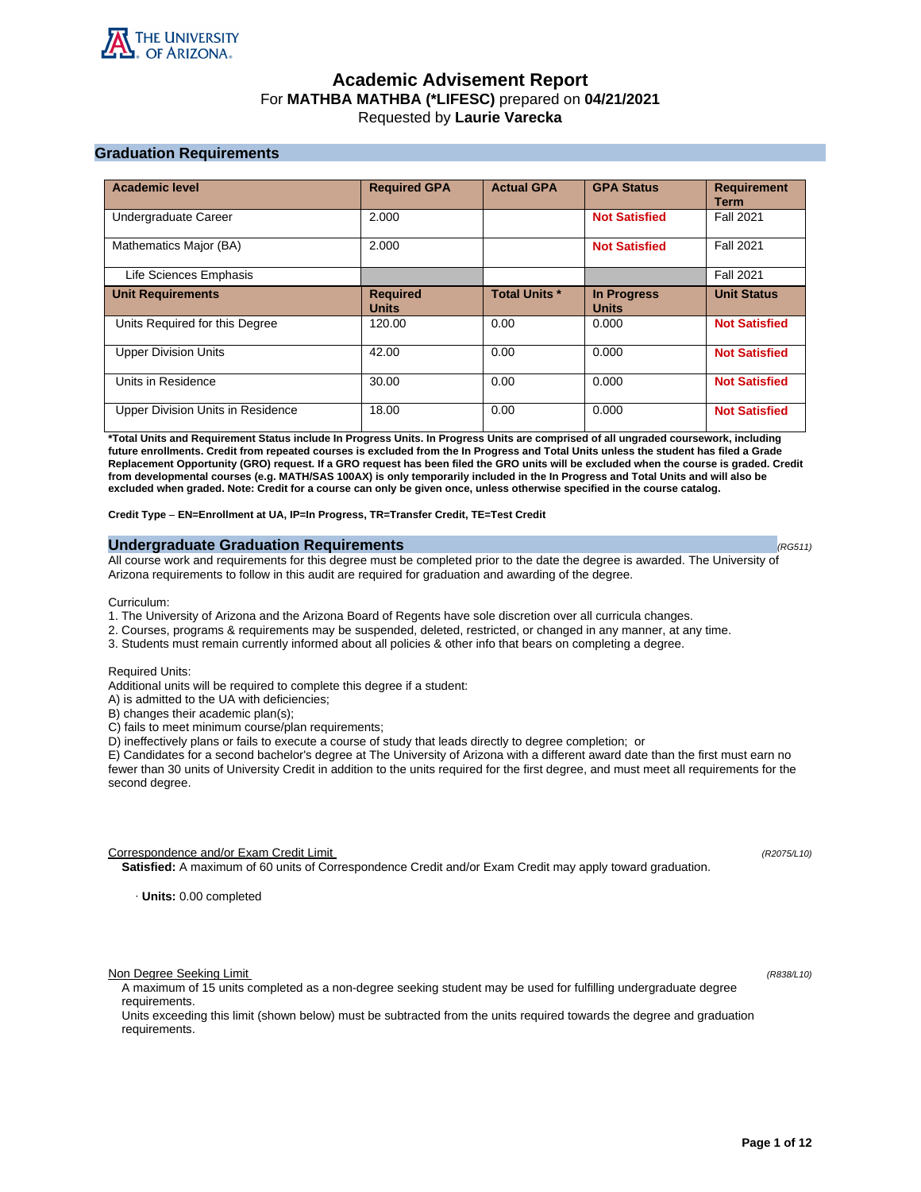

# **Academic Advisement Report** For **MATHBA MATHBA (\*LIFESC)** prepared on **04/21/2021** Requested by **Laurie Varecka**

# **Graduation Requirements**

| <b>Academic level</b>             | <b>Required GPA</b>             | <b>Actual GPA</b>    | <b>GPA Status</b>                  | <b>Requirement</b><br><b>Term</b> |
|-----------------------------------|---------------------------------|----------------------|------------------------------------|-----------------------------------|
| Undergraduate Career              | 2.000                           |                      | <b>Not Satisfied</b>               | <b>Fall 2021</b>                  |
| Mathematics Major (BA)            | 2.000                           |                      | <b>Not Satisfied</b>               | <b>Fall 2021</b>                  |
| Life Sciences Emphasis            |                                 |                      |                                    | <b>Fall 2021</b>                  |
| <b>Unit Requirements</b>          | <b>Required</b><br><b>Units</b> | <b>Total Units *</b> | <b>In Progress</b><br><b>Units</b> | <b>Unit Status</b>                |
| Units Required for this Degree    | 120.00                          | 0.00                 | 0.000                              | <b>Not Satisfied</b>              |
| <b>Upper Division Units</b>       | 42.00                           | 0.00                 | 0.000                              | <b>Not Satisfied</b>              |
| Units in Residence                | 30.00                           | 0.00                 | 0.000                              | <b>Not Satisfied</b>              |
| Upper Division Units in Residence | 18.00                           | 0.00                 | 0.000                              | <b>Not Satisfied</b>              |

**\*Total Units and Requirement Status include In Progress Units. In Progress Units are comprised of all ungraded coursework, including future enrollments. Credit from repeated courses is excluded from the In Progress and Total Units unless the student has filed a Grade Replacement Opportunity (GRO) request. If a GRO request has been filed the GRO units will be excluded when the course is graded. Credit from developmental courses (e.g. MATH/SAS 100AX) is only temporarily included in the In Progress and Total Units and will also be excluded when graded. Note: Credit for a course can only be given once, unless otherwise specified in the course catalog.**

**Credit Type** – **EN=Enrollment at UA, IP=In Progress, TR=Transfer Credit, TE=Test Credit**

### **Undergraduate Graduation Requirements (RG511) (RG511) (RG511) (RG511)**

All course work and requirements for this degree must be completed prior to the date the degree is awarded. The University of Arizona requirements to follow in this audit are required for graduation and awarding of the degree.

Curriculum:

- 1. The University of Arizona and the Arizona Board of Regents have sole discretion over all curricula changes.
- 2. Courses, programs & requirements may be suspended, deleted, restricted, or changed in any manner, at any time.
- 3. Students must remain currently informed about all policies & other info that bears on completing a degree.

Required Units:

Additional units will be required to complete this degree if a student:

A) is admitted to the UA with deficiencies;

B) changes their academic plan(s);

C) fails to meet minimum course/plan requirements;

D) ineffectively plans or fails to execute a course of study that leads directly to degree completion; or

E) Candidates for a second bachelor's degree at The University of Arizona with a different award date than the first must earn no fewer than 30 units of University Credit in addition to the units required for the first degree, and must meet all requirements for the second degree.

Correspondence and/or Exam Credit Limit (R2075/L10) (R2075/L10)

**Satisfied:** A maximum of 60 units of Correspondence Credit and/or Exam Credit may apply toward graduation.

· **Units:** 0.00 completed

Non Degree Seeking Limit (R838/L10)

A maximum of 15 units completed as a non-degree seeking student may be used for fulfilling undergraduate degree requirements.

Units exceeding this limit (shown below) must be subtracted from the units required towards the degree and graduation requirements.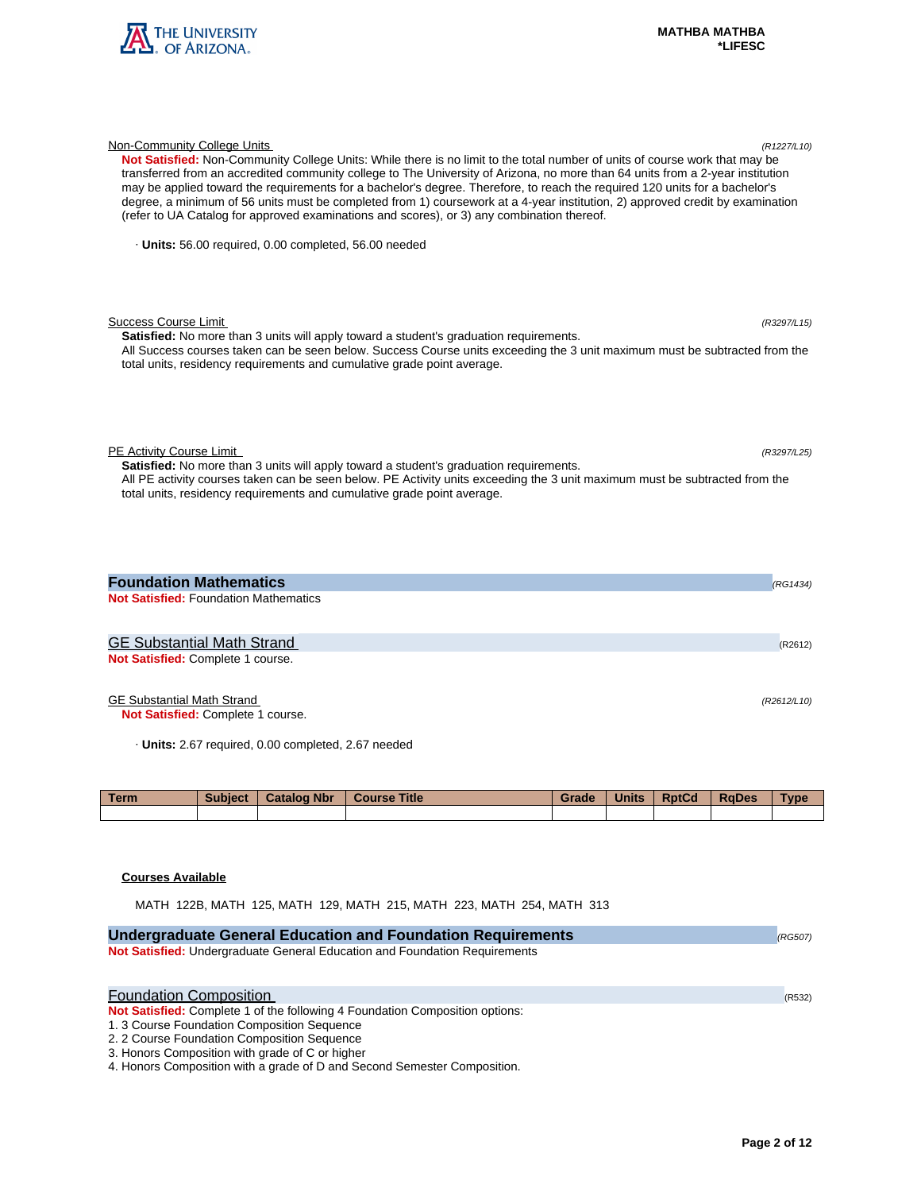

| Not Satisfied: Non-Community College Units: While there is no limit to the total number of units of course work that may be<br>transferred from an accredited community college to The University of Arizona, no more than 64 units from a 2-year institution<br>may be applied toward the requirements for a bachelor's degree. Therefore, to reach the required 120 units for a bachelor's<br>degree, a minimum of 56 units must be completed from 1) coursework at a 4-year institution, 2) approved credit by examination<br>(refer to UA Catalog for approved examinations and scores), or 3) any combination thereof. |  |
|-----------------------------------------------------------------------------------------------------------------------------------------------------------------------------------------------------------------------------------------------------------------------------------------------------------------------------------------------------------------------------------------------------------------------------------------------------------------------------------------------------------------------------------------------------------------------------------------------------------------------------|--|
| · Units: 56.00 required, 0.00 completed, 56.00 needed                                                                                                                                                                                                                                                                                                                                                                                                                                                                                                                                                                       |  |
| <b>Success Course Limit</b><br>(R3297/L15)<br><b>Satisfied:</b> No more than 3 units will apply toward a student's graduation requirements.<br>All Success courses taken can be seen below. Success Course units exceeding the 3 unit maximum must be subtracted from the<br>total units, residency requirements and cumulative grade point average.                                                                                                                                                                                                                                                                        |  |
| PE Activity Course Limit<br>(R3297/L25)<br><b>Satisfied:</b> No more than 3 units will apply toward a student's graduation requirements.<br>All PE activity courses taken can be seen below. PE Activity units exceeding the 3 unit maximum must be subtracted from the<br>total units, residency requirements and cumulative grade point average.                                                                                                                                                                                                                                                                          |  |
| <b>Foundation Mathematics</b><br>(RG1434)                                                                                                                                                                                                                                                                                                                                                                                                                                                                                                                                                                                   |  |
| <b>Not Satisfied: Foundation Mathematics</b>                                                                                                                                                                                                                                                                                                                                                                                                                                                                                                                                                                                |  |
| <b>GE Substantial Math Strand</b><br>(R2612)                                                                                                                                                                                                                                                                                                                                                                                                                                                                                                                                                                                |  |
| Not Satisfied: Complete 1 course.                                                                                                                                                                                                                                                                                                                                                                                                                                                                                                                                                                                           |  |

Non-Community College Units (R1227/L10)

GE Substantial Math Strand (R2612/L10)

**Not Satisfied:** Complete 1 course.

· **Units:** 2.67 required, 0.00 completed, 2.67 needed

| <b>Term</b> | <b>Subject</b> | <b>Catalog Nbr</b> | <b>Course Title</b> | Grade | <b>Units</b> | <b>RptCd</b> | <b>RaDes</b> | <b>Type</b> |
|-------------|----------------|--------------------|---------------------|-------|--------------|--------------|--------------|-------------|
|             |                |                    |                     |       |              |              |              |             |

# **Courses Available**

MATH 122B, MATH 125, MATH 129, MATH 215, MATH 223, MATH 254, MATH 313

| <b>Undergraduate General Education and Foundation Requirements</b>           | (RG507) |
|------------------------------------------------------------------------------|---------|
| Not Satisfied: Undergraduate General Education and Foundation Requirements   |         |
|                                                                              |         |
| <b>Foundation Composition</b>                                                | (R532)  |
| Not Satisfied: Complete 1 of the following 4 Foundation Composition options: |         |
| 1. 3 Course Foundation Composition Sequence                                  |         |
| 2. 2 Course Foundation Composition Sequence                                  |         |
| 3. Honors Composition with grade of C or higher                              |         |
| 4. Honors Composition with a grade of D and Second Semester Composition.     |         |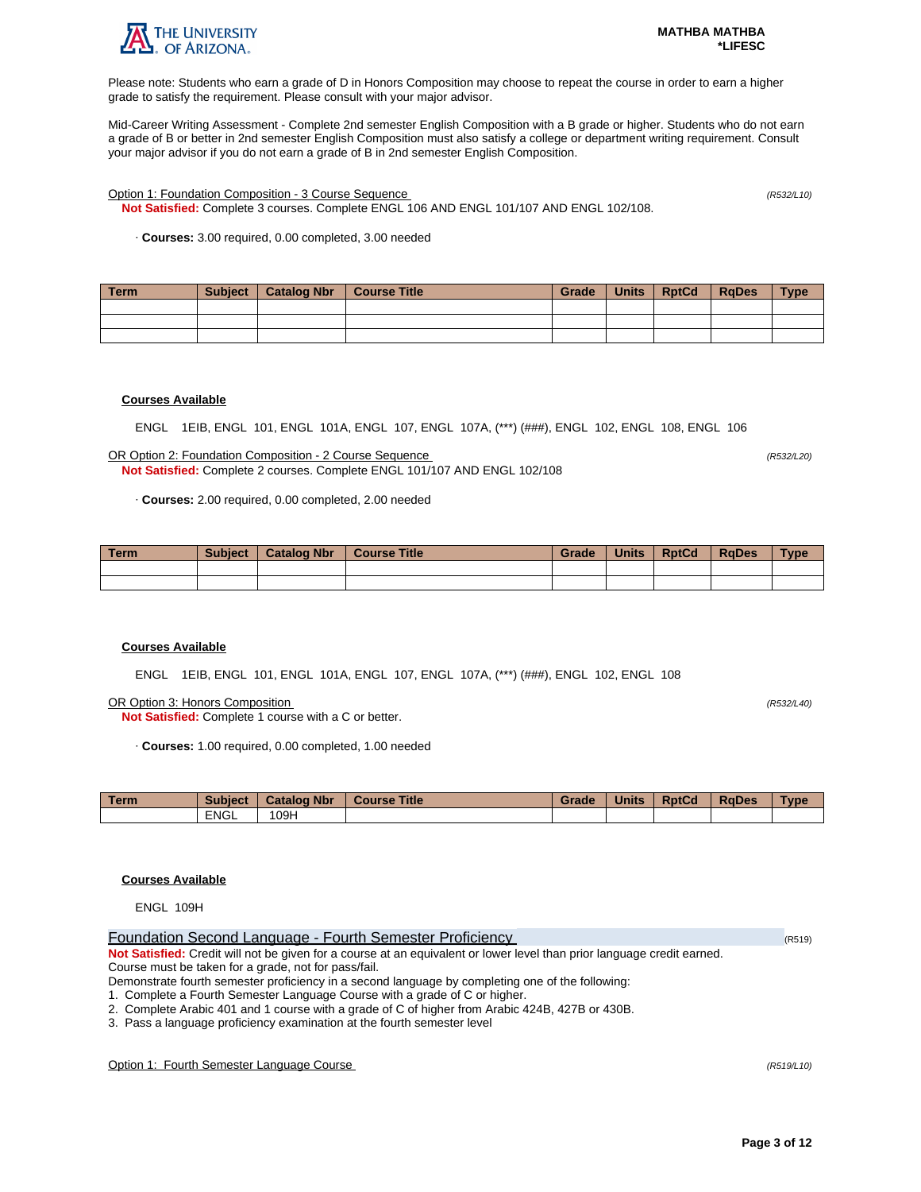

Please note: Students who earn a grade of D in Honors Composition may choose to repeat the course in order to earn a higher grade to satisfy the requirement. Please consult with your major advisor.

Mid-Career Writing Assessment - Complete 2nd semester English Composition with a B grade or higher. Students who do not earn a grade of B or better in 2nd semester English Composition must also satisfy a college or department writing requirement. Consult your major advisor if you do not earn a grade of B in 2nd semester English Composition.

Option 1: Foundation Composition - 3 Course Sequence (R532/L10)

**Not Satisfied:** Complete 3 courses. Complete ENGL 106 AND ENGL 101/107 AND ENGL 102/108.

· **Courses:** 3.00 required, 0.00 completed, 3.00 needed

| Term | Subject | Catalog Nbr   Course Title | Grade | <b>Units</b> | RptCd | RaDes | <b>Type</b> |
|------|---------|----------------------------|-------|--------------|-------|-------|-------------|
|      |         |                            |       |              |       |       |             |
|      |         |                            |       |              |       |       |             |
|      |         |                            |       |              |       |       |             |

### **Courses Available**

ENGL 1EIB, ENGL 101, ENGL 101A, ENGL 107, ENGL 107A, (\*\*\*) (###), ENGL 102, ENGL 108, ENGL 106

OR Option 2: Foundation Composition - 2 Course Sequence (R532/L20) **Not Satisfied:** Complete 2 courses. Complete ENGL 101/107 AND ENGL 102/108

· **Courses:** 2.00 required, 0.00 completed, 2.00 needed

| <b>Term</b> | <b>Subject</b> | <b>Catalog Nbr</b> | <b>Course Title</b> | Grade | <b>Units</b> | <b>RptCd</b> | <b>RaDes</b> | $T$ <sub>V</sub> $pe$ |
|-------------|----------------|--------------------|---------------------|-------|--------------|--------------|--------------|-----------------------|
|             |                |                    |                     |       |              |              |              |                       |
|             |                |                    |                     |       |              |              |              |                       |

## **Courses Available**

ENGL 1EIB, ENGL 101, ENGL 101A, ENGL 107, ENGL 107A, (\*\*\*) (###), ENGL 102, ENGL 108

OR Option 3: Honors Composition (R532/L40)

**Not Satisfied:** Complete 1 course with a C or better.

· **Courses:** 1.00 required, 0.00 completed, 1.00 needed

| <b>Term</b> | <b>Subject</b> | <b>Catalog Nbr</b> | <b>Title</b><br>Course | Grade | <b>Units</b> | <b>RptCd</b> | <b>RaDes</b> | Type |
|-------------|----------------|--------------------|------------------------|-------|--------------|--------------|--------------|------|
|             | <b>ENGL</b>    | 109H               |                        |       |              |              |              |      |

## **Courses Available**

ENGL 109H

| Foundation Second Language - Fourth Semester Proficiency                                                                                                                    | (R519) |
|-----------------------------------------------------------------------------------------------------------------------------------------------------------------------------|--------|
| Not Satisfied: Credit will not be given for a course at an equivalent or lower level than prior language credit earned.                                                     |        |
| Course must be taken for a grade, not for pass/fail.                                                                                                                        |        |
| Demonstrate fourth semester proficiency in a second language by completing one of the following:                                                                            |        |
| <b>A</b> $\bigcap$ and $\bigcap$ is $\bigcap$ and $\bigcap$ and $\bigcap$ and $\bigcap$ and $\bigcap$ and $\bigcap$ and $\bigcap$ and $\bigcap$ and $\bigcap$ and $\bigcap$ |        |

1. Complete a Fourth Semester Language Course with a grade of C or higher.

2. Complete Arabic 401 and 1 course with a grade of C of higher from Arabic 424B, 427B or 430B.

3. Pass a language proficiency examination at the fourth semester level

Option 1: Fourth Semester Language Course (R519/L10)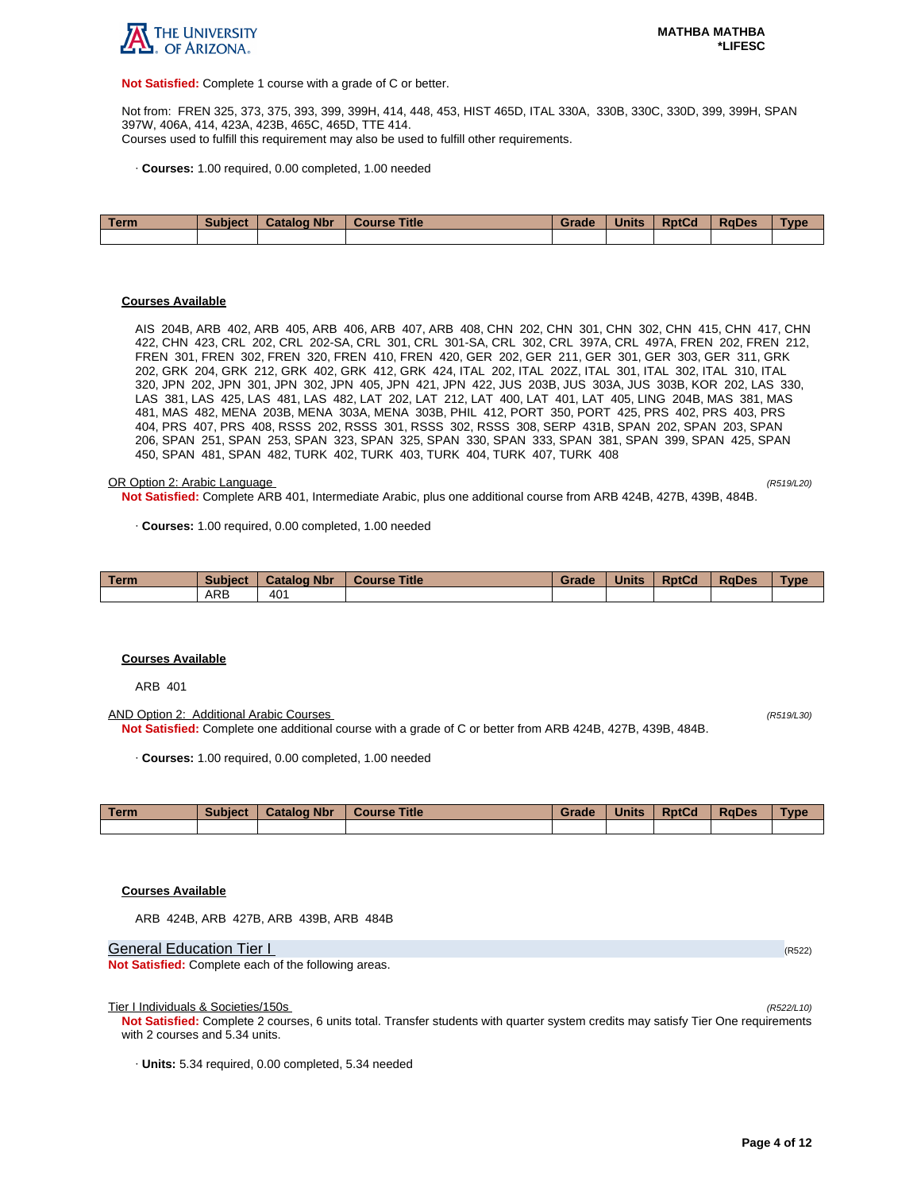

**Not Satisfied:** Complete 1 course with a grade of C or better.

Not from: FREN 325, 373, 375, 393, 399, 399H, 414, 448, 453, HIST 465D, ITAL 330A, 330B, 330C, 330D, 399, 399H, SPAN 397W, 406A, 414, 423A, 423B, 465C, 465D, TTE 414. Courses used to fulfill this requirement may also be used to fulfill other requirements.

· **Courses:** 1.00 required, 0.00 completed, 1.00 needed

| Term | <b>Subject</b> | <b>Catalog Nbr</b> | Course Title | Grade | <b>Units</b> | <b>RptCd</b> | <b>RaDes</b> | <b>Type</b> |
|------|----------------|--------------------|--------------|-------|--------------|--------------|--------------|-------------|
|      |                |                    |              |       |              |              |              |             |

#### **Courses Available**

AIS 204B, ARB 402, ARB 405, ARB 406, ARB 407, ARB 408, CHN 202, CHN 301, CHN 302, CHN 415, CHN 417, CHN 422, CHN 423, CRL 202, CRL 202-SA, CRL 301, CRL 301-SA, CRL 302, CRL 397A, CRL 497A, FREN 202, FREN 212, FREN 301, FREN 302, FREN 320, FREN 410, FREN 420, GER 202, GER 211, GER 301, GER 303, GER 311, GRK 202, GRK 204, GRK 212, GRK 402, GRK 412, GRK 424, ITAL 202, ITAL 202Z, ITAL 301, ITAL 302, ITAL 310, ITAL 320, JPN 202, JPN 301, JPN 302, JPN 405, JPN 421, JPN 422, JUS 203B, JUS 303A, JUS 303B, KOR 202, LAS 330, LAS 381, LAS 425, LAS 481, LAS 482, LAT 202, LAT 212, LAT 400, LAT 401, LAT 405, LING 204B, MAS 381, MAS 481, MAS 482, MENA 203B, MENA 303A, MENA 303B, PHIL 412, PORT 350, PORT 425, PRS 402, PRS 403, PRS 404, PRS 407, PRS 408, RSSS 202, RSSS 301, RSSS 302, RSSS 308, SERP 431B, SPAN 202, SPAN 203, SPAN 206, SPAN 251, SPAN 253, SPAN 323, SPAN 325, SPAN 330, SPAN 333, SPAN 381, SPAN 399, SPAN 425, SPAN 450, SPAN 481, SPAN 482, TURK 402, TURK 403, TURK 404, TURK 407, TURK 408

#### OR Option 2: Arabic Language (R519/L20)

**Not Satisfied:** Complete ARB 401, Intermediate Arabic, plus one additional course from ARB 424B, 427B, 439B, 484B.

· **Courses:** 1.00 required, 0.00 completed, 1.00 needed

| Term | <b>Subject</b> | <b>Catalog Nbr</b> | <b>Course Title</b> | Grade | <b>Units</b> | <b>RptCd</b> | <b>RaDes</b> | <b>Type</b> |
|------|----------------|--------------------|---------------------|-------|--------------|--------------|--------------|-------------|
|      | ARB            | 40 <sup>1</sup>    |                     |       |              |              |              |             |

#### **Courses Available**

ARB 401

AND Option 2: Additional Arabic Courses (R519/L30) **Not Satisfied:** Complete one additional course with a grade of C or better from ARB 424B, 427B, 439B, 484B.

· **Courses:** 1.00 required, 0.00 completed, 1.00 needed

| Term | <b>Subject</b> | <b>Catalog Nbr</b> | Course Title | Grade | <b>Units</b> | <b>RptCd</b> | <b>RaDes</b> | Type |
|------|----------------|--------------------|--------------|-------|--------------|--------------|--------------|------|
|      |                |                    |              |       |              |              |              |      |

### **Courses Available**

ARB 424B, ARB 427B, ARB 439B, ARB 484B

General Education Tier I (R522) (R522)

**Not Satisfied:** Complete each of the following areas.

Tier I Individuals & Societies/150s

**Not Satisfied:** Complete 2 courses, 6 units total. Transfer students with quarter system credits may satisfy Tier One requirements with 2 courses and 5.34 units.

· **Units:** 5.34 required, 0.00 completed, 5.34 needed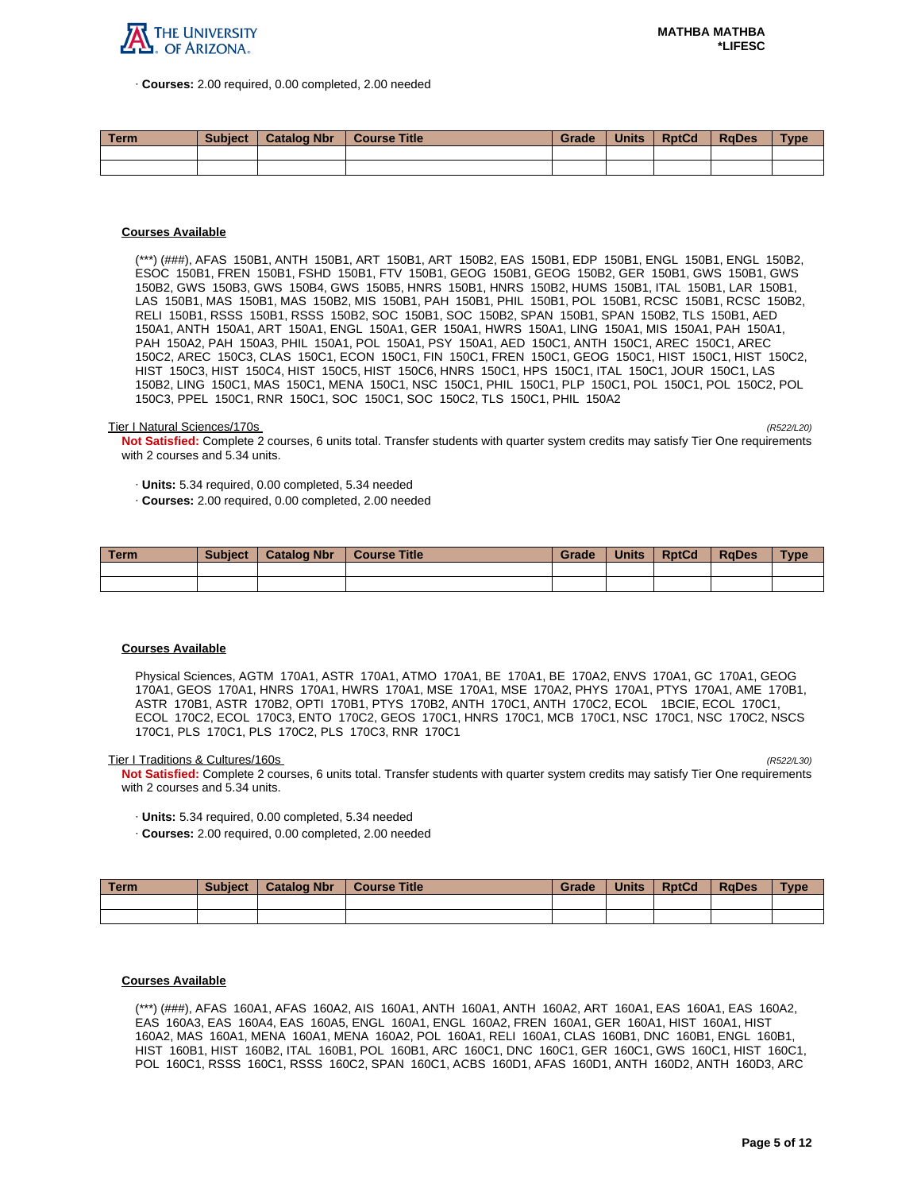

· **Courses:** 2.00 required, 0.00 completed, 2.00 needed

| <b>Term</b> | <b>Subject</b> | <b>Catalog Nbr</b> | <b>Course Title</b> | Grade | <b>Units</b> | <b>RptCd</b> | <b>RaDes</b> | $T$ ype |
|-------------|----------------|--------------------|---------------------|-------|--------------|--------------|--------------|---------|
|             |                |                    |                     |       |              |              |              |         |
|             |                |                    |                     |       |              |              |              |         |

## **Courses Available**

(\*\*\*) (###), AFAS 150B1, ANTH 150B1, ART 150B1, ART 150B2, EAS 150B1, EDP 150B1, ENGL 150B1, ENGL 150B2, ESOC 150B1, FREN 150B1, FSHD 150B1, FTV 150B1, GEOG 150B1, GEOG 150B2, GER 150B1, GWS 150B1, GWS 150B2, GWS 150B3, GWS 150B4, GWS 150B5, HNRS 150B1, HNRS 150B2, HUMS 150B1, ITAL 150B1, LAR 150B1, LAS 150B1, MAS 150B1, MAS 150B2, MIS 150B1, PAH 150B1, PHIL 150B1, POL 150B1, RCSC 150B1, RCSC 150B2, RELI 150B1, RSSS 150B1, RSSS 150B2, SOC 150B1, SOC 150B2, SPAN 150B1, SPAN 150B2, TLS 150B1, AED 150A1, ANTH 150A1, ART 150A1, ENGL 150A1, GER 150A1, HWRS 150A1, LING 150A1, MIS 150A1, PAH 150A1, PAH 150A2, PAH 150A3, PHIL 150A1, POL 150A1, PSY 150A1, AED 150C1, ANTH 150C1, AREC 150C1, AREC 150C2, AREC 150C3, CLAS 150C1, ECON 150C1, FIN 150C1, FREN 150C1, GEOG 150C1, HIST 150C1, HIST 150C2, HIST 150C3, HIST 150C4, HIST 150C5, HIST 150C6, HNRS 150C1, HPS 150C1, ITAL 150C1, JOUR 150C1, LAS 150B2, LING 150C1, MAS 150C1, MENA 150C1, NSC 150C1, PHIL 150C1, PLP 150C1, POL 150C1, POL 150C2, POL 150C3, PPEL 150C1, RNR 150C1, SOC 150C1, SOC 150C2, TLS 150C1, PHIL 150A2

#### Tier I Natural Sciences/170s (R522/L20)

**Not Satisfied:** Complete 2 courses, 6 units total. Transfer students with quarter system credits may satisfy Tier One requirements with 2 courses and 5.34 units.

· **Units:** 5.34 required, 0.00 completed, 5.34 needed

· **Courses:** 2.00 required, 0.00 completed, 2.00 needed

| Term | <b>Subject</b> | <b>Catalog Nbr</b> | <b>Course Title</b> | Grade | <b>Units</b> | <b>RptCd</b> | <b>RaDes</b> | <b>Type</b> |
|------|----------------|--------------------|---------------------|-------|--------------|--------------|--------------|-------------|
|      |                |                    |                     |       |              |              |              |             |
|      |                |                    |                     |       |              |              |              |             |

### **Courses Available**

Physical Sciences, AGTM 170A1, ASTR 170A1, ATMO 170A1, BE 170A1, BE 170A2, ENVS 170A1, GC 170A1, GEOG 170A1, GEOS 170A1, HNRS 170A1, HWRS 170A1, MSE 170A1, MSE 170A2, PHYS 170A1, PTYS 170A1, AME 170B1, ASTR 170B1, ASTR 170B2, OPTI 170B1, PTYS 170B2, ANTH 170C1, ANTH 170C2, ECOL 1BCIE, ECOL 170C1, ECOL 170C2, ECOL 170C3, ENTO 170C2, GEOS 170C1, HNRS 170C1, MCB 170C1, NSC 170C1, NSC 170C2, NSCS 170C1, PLS 170C1, PLS 170C2, PLS 170C3, RNR 170C1

Tier I Traditions & Cultures/160s

**Not Satisfied:** Complete 2 courses, 6 units total. Transfer students with quarter system credits may satisfy Tier One requirements with 2 courses and 5.34 units.

- · **Units:** 5.34 required, 0.00 completed, 5.34 needed
- · **Courses:** 2.00 required, 0.00 completed, 2.00 needed

| <b>Term</b> | <b>Subject</b> | <b>Catalog Nbr</b> | Course Title | <b>Grade</b> | <b>Units</b> | <b>RptCd</b> | RaDes | <b>Type</b> |
|-------------|----------------|--------------------|--------------|--------------|--------------|--------------|-------|-------------|
|             |                |                    |              |              |              |              |       |             |
|             |                |                    |              |              |              |              |       |             |

### **Courses Available**

(\*\*\*) (###), AFAS 160A1, AFAS 160A2, AIS 160A1, ANTH 160A1, ANTH 160A2, ART 160A1, EAS 160A1, EAS 160A2, EAS 160A3, EAS 160A4, EAS 160A5, ENGL 160A1, ENGL 160A2, FREN 160A1, GER 160A1, HIST 160A1, HIST 160A2, MAS 160A1, MENA 160A1, MENA 160A2, POL 160A1, RELI 160A1, CLAS 160B1, DNC 160B1, ENGL 160B1, HIST 160B1, HIST 160B2, ITAL 160B1, POL 160B1, ARC 160C1, DNC 160C1, GER 160C1, GWS 160C1, HIST 160C1, POL 160C1, RSSS 160C1, RSSS 160C2, SPAN 160C1, ACBS 160D1, AFAS 160D1, ANTH 160D2, ANTH 160D3, ARC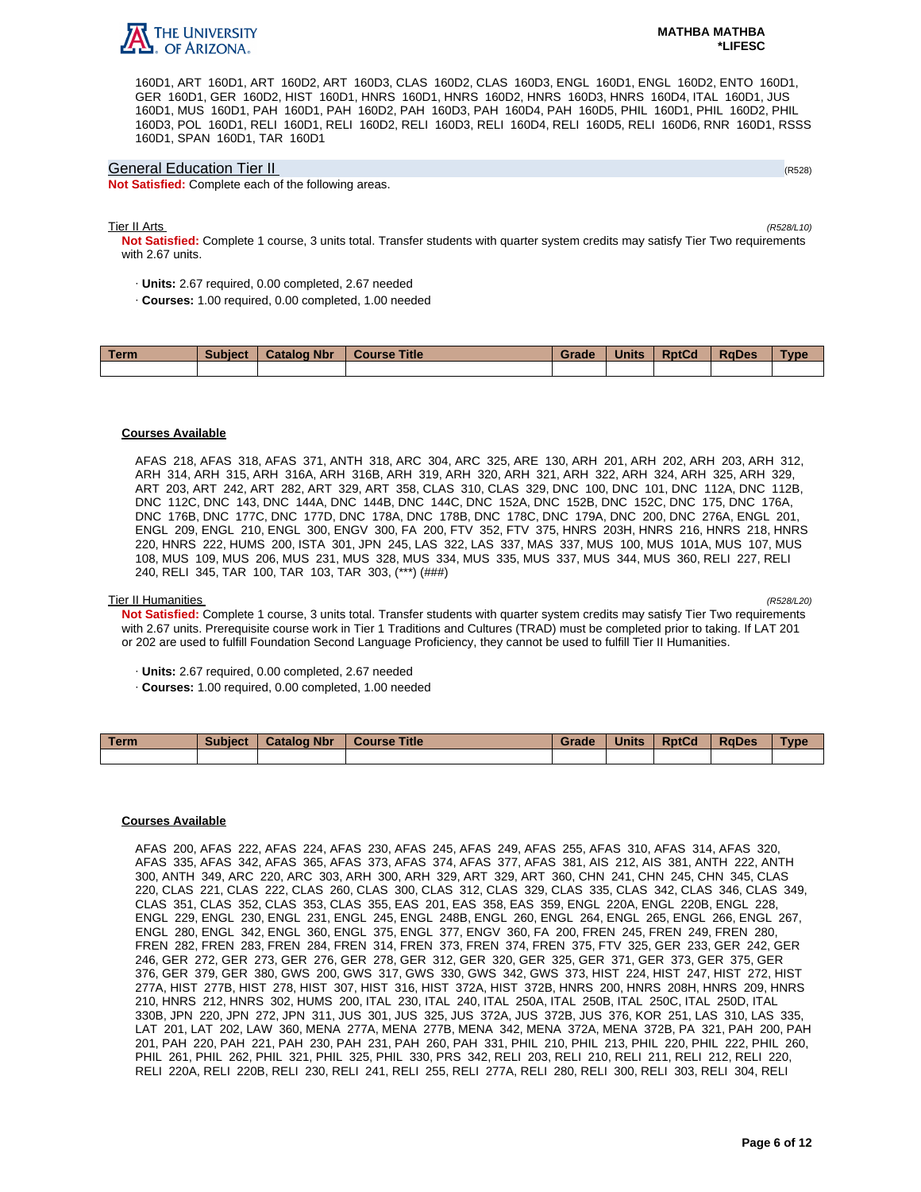

160D1, ART 160D1, ART 160D2, ART 160D3, CLAS 160D2, CLAS 160D3, ENGL 160D1, ENGL 160D2, ENTO 160D1, GER 160D1, GER 160D2, HIST 160D1, HNRS 160D1, HNRS 160D2, HNRS 160D3, HNRS 160D4, ITAL 160D1, JUS 160D1, MUS 160D1, PAH 160D1, PAH 160D2, PAH 160D3, PAH 160D4, PAH 160D5, PHIL 160D1, PHIL 160D2, PHIL 160D3, POL 160D1, RELI 160D1, RELI 160D2, RELI 160D3, RELI 160D4, RELI 160D5, RELI 160D6, RNR 160D1, RSSS 160D1, SPAN 160D1, TAR 160D1

### General Education Tier II (R528)

**Not Satisfied:** Complete each of the following areas.

### Tier II Arts (R528/L10)

**Not Satisfied:** Complete 1 course, 3 units total. Transfer students with quarter system credits may satisfy Tier Two requirements with 2.67 units.

- · **Units:** 2.67 required, 0.00 completed, 2.67 needed
- · **Courses:** 1.00 required, 0.00 completed, 1.00 needed

| Term | <b>Subject</b> | <b>Catalog Nbr</b> | <b>Course Title</b> | Grade | <b>Units</b> | <b>RptCd</b> | <b>RaDes</b> | Type |
|------|----------------|--------------------|---------------------|-------|--------------|--------------|--------------|------|
|      |                |                    |                     |       |              |              |              |      |

### **Courses Available**

AFAS 218, AFAS 318, AFAS 371, ANTH 318, ARC 304, ARC 325, ARE 130, ARH 201, ARH 202, ARH 203, ARH 312, ARH 314, ARH 315, ARH 316A, ARH 316B, ARH 319, ARH 320, ARH 321, ARH 322, ARH 324, ARH 325, ARH 329, ART 203, ART 242, ART 282, ART 329, ART 358, CLAS 310, CLAS 329, DNC 100, DNC 101, DNC 112A, DNC 112B, DNC 112C, DNC 143, DNC 144A, DNC 144B, DNC 144C, DNC 152A, DNC 152B, DNC 152C, DNC 175, DNC 176A, DNC 176B, DNC 177C, DNC 177D, DNC 178A, DNC 178B, DNC 178C, DNC 179A, DNC 200, DNC 276A, ENGL 201, ENGL 209, ENGL 210, ENGL 300, ENGV 300, FA 200, FTV 352, FTV 375, HNRS 203H, HNRS 216, HNRS 218, HNRS 220, HNRS 222, HUMS 200, ISTA 301, JPN 245, LAS 322, LAS 337, MAS 337, MUS 100, MUS 101A, MUS 107, MUS 108, MUS 109, MUS 206, MUS 231, MUS 328, MUS 334, MUS 335, MUS 337, MUS 344, MUS 360, RELI 227, RELI 240, RELI 345, TAR 100, TAR 103, TAR 303, (\*\*\*) (###)

### Tier II Humanities (R528/L20)

**Not Satisfied:** Complete 1 course, 3 units total. Transfer students with quarter system credits may satisfy Tier Two requirements with 2.67 units. Prerequisite course work in Tier 1 Traditions and Cultures (TRAD) must be completed prior to taking. If LAT 201 or 202 are used to fulfill Foundation Second Language Proficiency, they cannot be used to fulfill Tier II Humanities.

- · **Units:** 2.67 required, 0.00 completed, 2.67 needed
- · **Courses:** 1.00 required, 0.00 completed, 1.00 needed

| <b>Term</b> | <b>Subject</b> | <b>Catalog Nbr</b> | <b>Course Title</b> | Grade | <b>Units</b> | <b>RptCd</b> | <b>RaDes</b> | Type |
|-------------|----------------|--------------------|---------------------|-------|--------------|--------------|--------------|------|
|             |                |                    |                     |       |              |              |              |      |

### **Courses Available**

AFAS 200, AFAS 222, AFAS 224, AFAS 230, AFAS 245, AFAS 249, AFAS 255, AFAS 310, AFAS 314, AFAS 320, AFAS 335, AFAS 342, AFAS 365, AFAS 373, AFAS 374, AFAS 377, AFAS 381, AIS 212, AIS 381, ANTH 222, ANTH 300, ANTH 349, ARC 220, ARC 303, ARH 300, ARH 329, ART 329, ART 360, CHN 241, CHN 245, CHN 345, CLAS 220, CLAS 221, CLAS 222, CLAS 260, CLAS 300, CLAS 312, CLAS 329, CLAS 335, CLAS 342, CLAS 346, CLAS 349, CLAS 351, CLAS 352, CLAS 353, CLAS 355, EAS 201, EAS 358, EAS 359, ENGL 220A, ENGL 220B, ENGL 228, ENGL 229, ENGL 230, ENGL 231, ENGL 245, ENGL 248B, ENGL 260, ENGL 264, ENGL 265, ENGL 266, ENGL 267, ENGL 280, ENGL 342, ENGL 360, ENGL 375, ENGL 377, ENGV 360, FA 200, FREN 245, FREN 249, FREN 280, FREN 282, FREN 283, FREN 284, FREN 314, FREN 373, FREN 374, FREN 375, FTV 325, GER 233, GER 242, GER 246, GER 272, GER 273, GER 276, GER 278, GER 312, GER 320, GER 325, GER 371, GER 373, GER 375, GER 376, GER 379, GER 380, GWS 200, GWS 317, GWS 330, GWS 342, GWS 373, HIST 224, HIST 247, HIST 272, HIST 277A, HIST 277B, HIST 278, HIST 307, HIST 316, HIST 372A, HIST 372B, HNRS 200, HNRS 208H, HNRS 209, HNRS 210, HNRS 212, HNRS 302, HUMS 200, ITAL 230, ITAL 240, ITAL 250A, ITAL 250B, ITAL 250C, ITAL 250D, ITAL 330B, JPN 220, JPN 272, JPN 311, JUS 301, JUS 325, JUS 372A, JUS 372B, JUS 376, KOR 251, LAS 310, LAS 335, LAT 201, LAT 202, LAW 360, MENA 277A, MENA 277B, MENA 342, MENA 372A, MENA 372B, PA 321, PAH 200, PAH 201, PAH 220, PAH 221, PAH 230, PAH 231, PAH 260, PAH 331, PHIL 210, PHIL 213, PHIL 220, PHIL 222, PHIL 260, PHIL 261, PHIL 262, PHIL 321, PHIL 325, PHIL 330, PRS 342, RELI 203, RELI 210, RELI 211, RELI 212, RELI 220, RELI 220A, RELI 220B, RELI 230, RELI 241, RELI 255, RELI 277A, RELI 280, RELI 300, RELI 303, RELI 304, RELI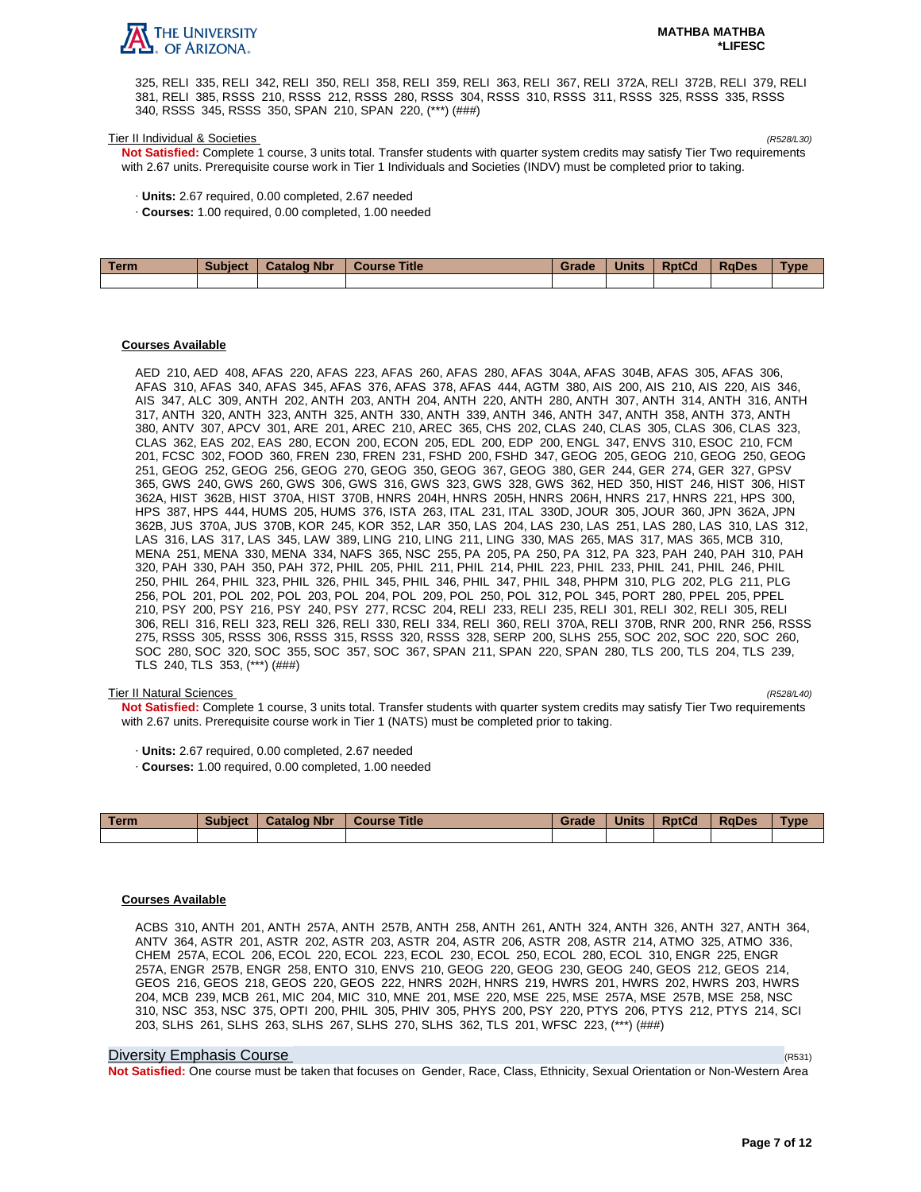

325, RELI 335, RELI 342, RELI 350, RELI 358, RELI 359, RELI 363, RELI 367, RELI 372A, RELI 372B, RELI 379, RELI 381, RELI 385, RSSS 210, RSSS 212, RSSS 280, RSSS 304, RSSS 310, RSSS 311, RSSS 325, RSSS 335, RSSS 340, RSSS 345, RSSS 350, SPAN 210, SPAN 220, (\*\*\*) (###)

#### Tier II Individual & Societies (R528/L30)

**Not Satisfied:** Complete 1 course, 3 units total. Transfer students with quarter system credits may satisfy Tier Two requirements with 2.67 units. Prerequisite course work in Tier 1 Individuals and Societies (INDV) must be completed prior to taking.

- · **Units:** 2.67 required, 0.00 completed, 2.67 needed
- · **Courses:** 1.00 required, 0.00 completed, 1.00 needed

| Term | Subject   Catalog Nbr | Course Title | Grade | <b>Units</b> | <b>RptCd</b> | <b>RaDes</b> | <b>Type</b> |
|------|-----------------------|--------------|-------|--------------|--------------|--------------|-------------|
|      |                       |              |       |              |              |              |             |

### **Courses Available**

AED 210, AED 408, AFAS 220, AFAS 223, AFAS 260, AFAS 280, AFAS 304A, AFAS 304B, AFAS 305, AFAS 306, AFAS 310, AFAS 340, AFAS 345, AFAS 376, AFAS 378, AFAS 444, AGTM 380, AIS 200, AIS 210, AIS 220, AIS 346, AIS 347, ALC 309, ANTH 202, ANTH 203, ANTH 204, ANTH 220, ANTH 280, ANTH 307, ANTH 314, ANTH 316, ANTH 317, ANTH 320, ANTH 323, ANTH 325, ANTH 330, ANTH 339, ANTH 346, ANTH 347, ANTH 358, ANTH 373, ANTH 380, ANTV 307, APCV 301, ARE 201, AREC 210, AREC 365, CHS 202, CLAS 240, CLAS 305, CLAS 306, CLAS 323, CLAS 362, EAS 202, EAS 280, ECON 200, ECON 205, EDL 200, EDP 200, ENGL 347, ENVS 310, ESOC 210, FCM 201, FCSC 302, FOOD 360, FREN 230, FREN 231, FSHD 200, FSHD 347, GEOG 205, GEOG 210, GEOG 250, GEOG 251, GEOG 252, GEOG 256, GEOG 270, GEOG 350, GEOG 367, GEOG 380, GER 244, GER 274, GER 327, GPSV 365, GWS 240, GWS 260, GWS 306, GWS 316, GWS 323, GWS 328, GWS 362, HED 350, HIST 246, HIST 306, HIST 362A, HIST 362B, HIST 370A, HIST 370B, HNRS 204H, HNRS 205H, HNRS 206H, HNRS 217, HNRS 221, HPS 300, HPS 387, HPS 444, HUMS 205, HUMS 376, ISTA 263, ITAL 231, ITAL 330D, JOUR 305, JOUR 360, JPN 362A, JPN 362B, JUS 370A, JUS 370B, KOR 245, KOR 352, LAR 350, LAS 204, LAS 230, LAS 251, LAS 280, LAS 310, LAS 312, LAS 316, LAS 317, LAS 345, LAW 389, LING 210, LING 211, LING 330, MAS 265, MAS 317, MAS 365, MCB 310, MENA 251, MENA 330, MENA 334, NAFS 365, NSC 255, PA 205, PA 250, PA 312, PA 323, PAH 240, PAH 310, PAH 320, PAH 330, PAH 350, PAH 372, PHIL 205, PHIL 211, PHIL 214, PHIL 223, PHIL 233, PHIL 241, PHIL 246, PHIL 250, PHIL 264, PHIL 323, PHIL 326, PHIL 345, PHIL 346, PHIL 347, PHIL 348, PHPM 310, PLG 202, PLG 211, PLG 256, POL 201, POL 202, POL 203, POL 204, POL 209, POL 250, POL 312, POL 345, PORT 280, PPEL 205, PPEL 210, PSY 200, PSY 216, PSY 240, PSY 277, RCSC 204, RELI 233, RELI 235, RELI 301, RELI 302, RELI 305, RELI 306, RELI 316, RELI 323, RELI 326, RELI 330, RELI 334, RELI 360, RELI 370A, RELI 370B, RNR 200, RNR 256, RSSS 275, RSSS 305, RSSS 306, RSSS 315, RSSS 320, RSSS 328, SERP 200, SLHS 255, SOC 202, SOC 220, SOC 260, SOC 280, SOC 320, SOC 355, SOC 357, SOC 367, SPAN 211, SPAN 220, SPAN 280, TLS 200, TLS 204, TLS 239, TLS 240, TLS 353, (\*\*\*) (###)

#### Tier II Natural Sciences (R528/L40)

**Not Satisfied:** Complete 1 course, 3 units total. Transfer students with quarter system credits may satisfy Tier Two requirements with 2.67 units. Prerequisite course work in Tier 1 (NATS) must be completed prior to taking.

- · **Units:** 2.67 required, 0.00 completed, 2.67 needed
- · **Courses:** 1.00 required, 0.00 completed, 1.00 needed

| Term | <b>Subject</b> | <b>Catalog Nbr</b> | <b>Course Title</b> | Grade | Units | <b>RptCd</b> | <b>RaDes</b> | <b>Type</b> |
|------|----------------|--------------------|---------------------|-------|-------|--------------|--------------|-------------|
|      |                |                    |                     |       |       |              |              |             |

#### **Courses Available**

ACBS 310, ANTH 201, ANTH 257A, ANTH 257B, ANTH 258, ANTH 261, ANTH 324, ANTH 326, ANTH 327, ANTH 364, ANTV 364, ASTR 201, ASTR 202, ASTR 203, ASTR 204, ASTR 206, ASTR 208, ASTR 214, ATMO 325, ATMO 336, CHEM 257A, ECOL 206, ECOL 220, ECOL 223, ECOL 230, ECOL 250, ECOL 280, ECOL 310, ENGR 225, ENGR 257A, ENGR 257B, ENGR 258, ENTO 310, ENVS 210, GEOG 220, GEOG 230, GEOG 240, GEOS 212, GEOS 214, GEOS 216, GEOS 218, GEOS 220, GEOS 222, HNRS 202H, HNRS 219, HWRS 201, HWRS 202, HWRS 203, HWRS 204, MCB 239, MCB 261, MIC 204, MIC 310, MNE 201, MSE 220, MSE 225, MSE 257A, MSE 257B, MSE 258, NSC 310, NSC 353, NSC 375, OPTI 200, PHIL 305, PHIV 305, PHYS 200, PSY 220, PTYS 206, PTYS 212, PTYS 214, SCI 203, SLHS 261, SLHS 263, SLHS 267, SLHS 270, SLHS 362, TLS 201, WFSC 223, (\*\*\*) (###)

### Diversity Emphasis Course (R531)

**Not Satisfied:** One course must be taken that focuses on Gender, Race, Class, Ethnicity, Sexual Orientation or Non-Western Area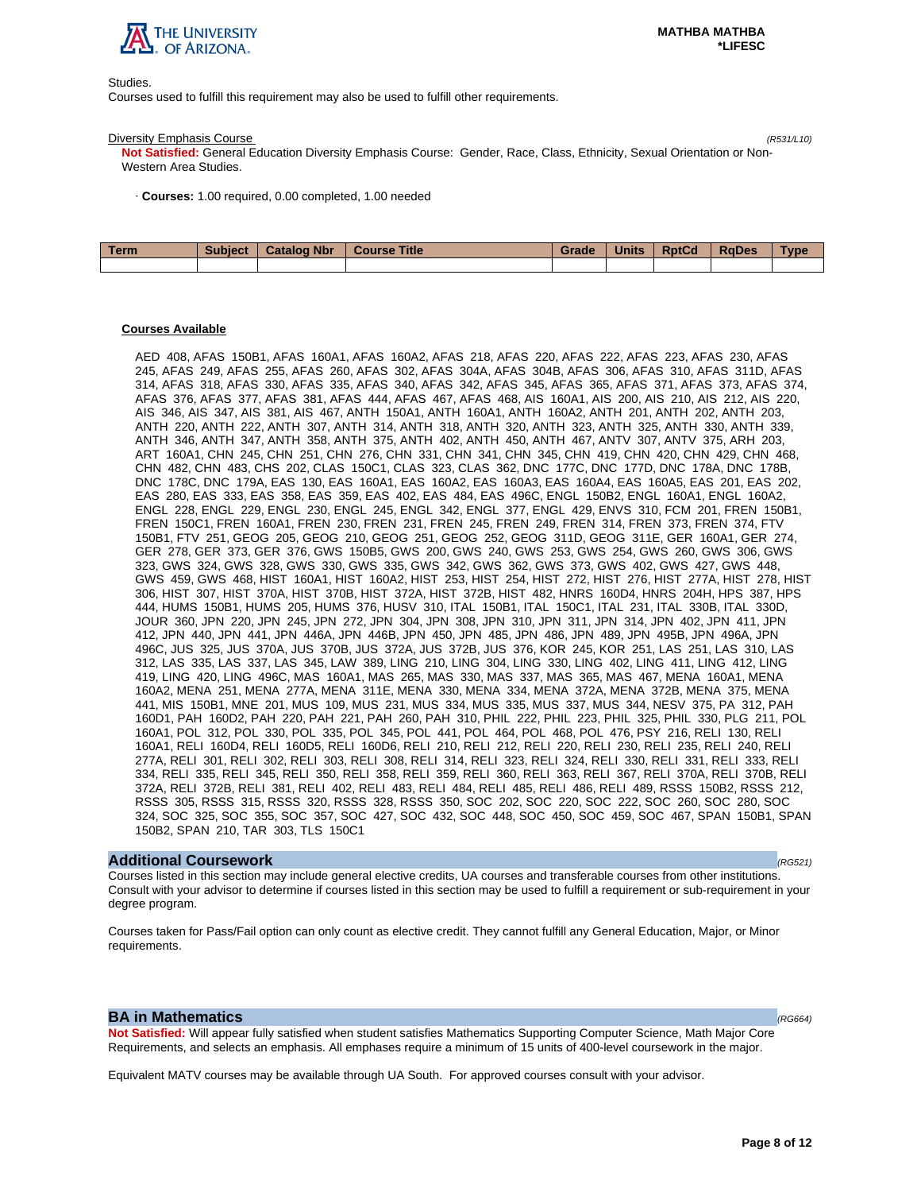

Studies.

Courses used to fulfill this requirement may also be used to fulfill other requirements.

#### Diversity Emphasis Course (R531/L10)

**Not Satisfied:** General Education Diversity Emphasis Course: Gender, Race, Class, Ethnicity, Sexual Orientation or Non-Western Area Studies.

· **Courses:** 1.00 required, 0.00 completed, 1.00 needed

| <b>Term</b> | <b>Subject</b> | <b>Catalog Nbr</b> | Course Title | Grade | <b>Units</b> | <b>RptCd</b> | RaDes | <b>Type</b> |
|-------------|----------------|--------------------|--------------|-------|--------------|--------------|-------|-------------|
|             |                |                    |              |       |              |              |       |             |

### **Courses Available**

AED 408, AFAS 150B1, AFAS 160A1, AFAS 160A2, AFAS 218, AFAS 220, AFAS 222, AFAS 223, AFAS 230, AFAS 245, AFAS 249, AFAS 255, AFAS 260, AFAS 302, AFAS 304A, AFAS 304B, AFAS 306, AFAS 310, AFAS 311D, AFAS 314, AFAS 318, AFAS 330, AFAS 335, AFAS 340, AFAS 342, AFAS 345, AFAS 365, AFAS 371, AFAS 373, AFAS 374, AFAS 376, AFAS 377, AFAS 381, AFAS 444, AFAS 467, AFAS 468, AIS 160A1, AIS 200, AIS 210, AIS 212, AIS 220, AIS 346, AIS 347, AIS 381, AIS 467, ANTH 150A1, ANTH 160A1, ANTH 160A2, ANTH 201, ANTH 202, ANTH 203, ANTH 220, ANTH 222, ANTH 307, ANTH 314, ANTH 318, ANTH 320, ANTH 323, ANTH 325, ANTH 330, ANTH 339, ANTH 346, ANTH 347, ANTH 358, ANTH 375, ANTH 402, ANTH 450, ANTH 467, ANTV 307, ANTV 375, ARH 203, ART 160A1, CHN 245, CHN 251, CHN 276, CHN 331, CHN 341, CHN 345, CHN 419, CHN 420, CHN 429, CHN 468, CHN 482, CHN 483, CHS 202, CLAS 150C1, CLAS 323, CLAS 362, DNC 177C, DNC 177D, DNC 178A, DNC 178B, DNC 178C, DNC 179A, EAS 130, EAS 160A1, EAS 160A2, EAS 160A3, EAS 160A4, EAS 160A5, EAS 201, EAS 202, EAS 280, EAS 333, EAS 358, EAS 359, EAS 402, EAS 484, EAS 496C, ENGL 150B2, ENGL 160A1, ENGL 160A2, ENGL 228, ENGL 229, ENGL 230, ENGL 245, ENGL 342, ENGL 377, ENGL 429, ENVS 310, FCM 201, FREN 150B1, FREN 150C1, FREN 160A1, FREN 230, FREN 231, FREN 245, FREN 249, FREN 314, FREN 373, FREN 374, FTV 150B1, FTV 251, GEOG 205, GEOG 210, GEOG 251, GEOG 252, GEOG 311D, GEOG 311E, GER 160A1, GER 274, GER 278, GER 373, GER 376, GWS 150B5, GWS 200, GWS 240, GWS 253, GWS 254, GWS 260, GWS 306, GWS 323, GWS 324, GWS 328, GWS 330, GWS 335, GWS 342, GWS 362, GWS 373, GWS 402, GWS 427, GWS 448, GWS 459, GWS 468, HIST 160A1, HIST 160A2, HIST 253, HIST 254, HIST 272, HIST 276, HIST 277A, HIST 278, HIST 306, HIST 307, HIST 370A, HIST 370B, HIST 372A, HIST 372B, HIST 482, HNRS 160D4, HNRS 204H, HPS 387, HPS 444, HUMS 150B1, HUMS 205, HUMS 376, HUSV 310, ITAL 150B1, ITAL 150C1, ITAL 231, ITAL 330B, ITAL 330D, JOUR 360, JPN 220, JPN 245, JPN 272, JPN 304, JPN 308, JPN 310, JPN 311, JPN 314, JPN 402, JPN 411, JPN 412, JPN 440, JPN 441, JPN 446A, JPN 446B, JPN 450, JPN 485, JPN 486, JPN 489, JPN 495B, JPN 496A, JPN 496C, JUS 325, JUS 370A, JUS 370B, JUS 372A, JUS 372B, JUS 376, KOR 245, KOR 251, LAS 251, LAS 310, LAS 312, LAS 335, LAS 337, LAS 345, LAW 389, LING 210, LING 304, LING 330, LING 402, LING 411, LING 412, LING 419, LING 420, LING 496C, MAS 160A1, MAS 265, MAS 330, MAS 337, MAS 365, MAS 467, MENA 160A1, MENA 160A2, MENA 251, MENA 277A, MENA 311E, MENA 330, MENA 334, MENA 372A, MENA 372B, MENA 375, MENA 441, MIS 150B1, MNE 201, MUS 109, MUS 231, MUS 334, MUS 335, MUS 337, MUS 344, NESV 375, PA 312, PAH 160D1, PAH 160D2, PAH 220, PAH 221, PAH 260, PAH 310, PHIL 222, PHIL 223, PHIL 325, PHIL 330, PLG 211, POL 160A1, POL 312, POL 330, POL 335, POL 345, POL 441, POL 464, POL 468, POL 476, PSY 216, RELI 130, RELI 160A1, RELI 160D4, RELI 160D5, RELI 160D6, RELI 210, RELI 212, RELI 220, RELI 230, RELI 235, RELI 240, RELI 277A, RELI 301, RELI 302, RELI 303, RELI 308, RELI 314, RELI 323, RELI 324, RELI 330, RELI 331, RELI 333, RELI 334, RELI 335, RELI 345, RELI 350, RELI 358, RELI 359, RELI 360, RELI 363, RELI 367, RELI 370A, RELI 370B, RELI 372A, RELI 372B, RELI 381, RELI 402, RELI 483, RELI 484, RELI 485, RELI 486, RELI 489, RSSS 150B2, RSSS 212, RSSS 305, RSSS 315, RSSS 320, RSSS 328, RSSS 350, SOC 202, SOC 220, SOC 222, SOC 260, SOC 280, SOC 324, SOC 325, SOC 355, SOC 357, SOC 427, SOC 432, SOC 448, SOC 450, SOC 459, SOC 467, SPAN 150B1, SPAN 150B2, SPAN 210, TAR 303, TLS 150C1

### **Additional Coursework** (RG521)

Courses listed in this section may include general elective credits, UA courses and transferable courses from other institutions. Consult with your advisor to determine if courses listed in this section may be used to fulfill a requirement or sub-requirement in your degree program.

Courses taken for Pass/Fail option can only count as elective credit. They cannot fulfill any General Education, Major, or Minor requirements.

### **BA in Mathematics**  $(RG664)$

**Not Satisfied:** Will appear fully satisfied when student satisfies Mathematics Supporting Computer Science, Math Major Core Requirements, and selects an emphasis. All emphases require a minimum of 15 units of 400-level coursework in the major.

Equivalent MATV courses may be available through UA South. For approved courses consult with your advisor.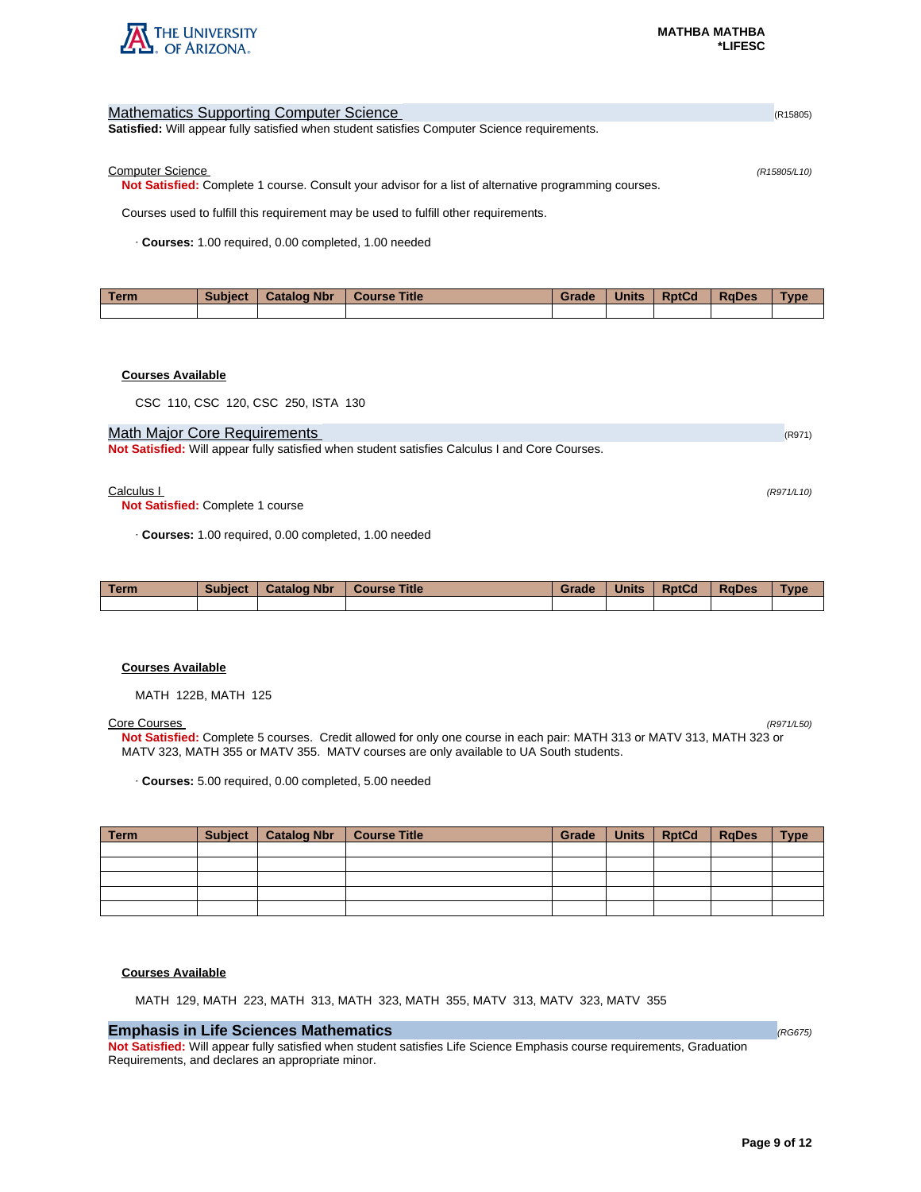

| <b>Mathematics Supporting Computer Science</b>                                                               | (R15805)     |
|--------------------------------------------------------------------------------------------------------------|--------------|
| <b>Satisfied:</b> Will appear fully satisfied when student satisfies Computer Science requirements.          |              |
|                                                                                                              |              |
| <b>Computer Science</b>                                                                                      | (R15805/L10) |
| <b>Not Satisfied:</b> Complete 1 course. Consult your advisor for a list of alternative programming courses. |              |
| Courses used to fulfill this requirement may be used to fulfill other requirements.                          |              |
| Courses: 1.00 required, 0.00 completed, 1.00 needed                                                          |              |
|                                                                                                              |              |

| Term | <b>Subject</b> | <b>Catalog Nbr</b> | <b>Course Title</b> | Grade | <b>Units</b> | <b>RptCd</b> | <b>RaDes</b> | <b>Vpe</b> |
|------|----------------|--------------------|---------------------|-------|--------------|--------------|--------------|------------|
|      |                |                    |                     |       |              |              |              |            |

## **Courses Available**

CSC 110, CSC 120, CSC 250, ISTA 130

### Math Major Core Requirements (R971) 2008 12:00 12:00 12:00 12:00 12:00 12:00 12:00 12:00 12:00 12:00 12:00 12:00 12:00 12:00 12:00 12:00 12:00 12:00 12:00 12:00 12:00 12:00 12:00 12:00 12:00 12:00 12:00 12:00 12:00 12:00 1

**Not Satisfied:** Will appear fully satisfied when student satisfies Calculus I and Core Courses.

#### $Calculus 1$  (R971/L10)

**Not Satisfied:** Complete 1 course

· **Courses:** 1.00 required, 0.00 completed, 1.00 needed

| <b>Term</b> | <b>Subject</b> | <b>Catalog Nbr</b> | <b>Course Title</b> | Grade | Units | <b>RptCd</b> | <b>RaDes</b> | Type |
|-------------|----------------|--------------------|---------------------|-------|-------|--------------|--------------|------|
|             |                |                    |                     |       |       |              |              |      |

### **Courses Available**

MATH 122B, MATH 125

### Core Courses (R971/L50)

**Not Satisfied:** Complete 5 courses. Credit allowed for only one course in each pair: MATH 313 or MATV 313, MATH 323 or MATV 323, MATH 355 or MATV 355. MATV courses are only available to UA South students.

· **Courses:** 5.00 required, 0.00 completed, 5.00 needed

| Term | Subject   Catalog Nbr | Course Title | Grade | Units   RptCd   RgDes | <b>Type</b> |
|------|-----------------------|--------------|-------|-----------------------|-------------|
|      |                       |              |       |                       |             |
|      |                       |              |       |                       |             |
|      |                       |              |       |                       |             |
|      |                       |              |       |                       |             |
|      |                       |              |       |                       |             |

### **Courses Available**

MATH 129, MATH 223, MATH 313, MATH 323, MATH 355, MATV 313, MATV 323, MATV 355

## **Emphasis in Life Sciences Mathematics** (RG675)

**Not Satisfied:** Will appear fully satisfied when student satisfies Life Science Emphasis course requirements, Graduation Requirements, and declares an appropriate minor.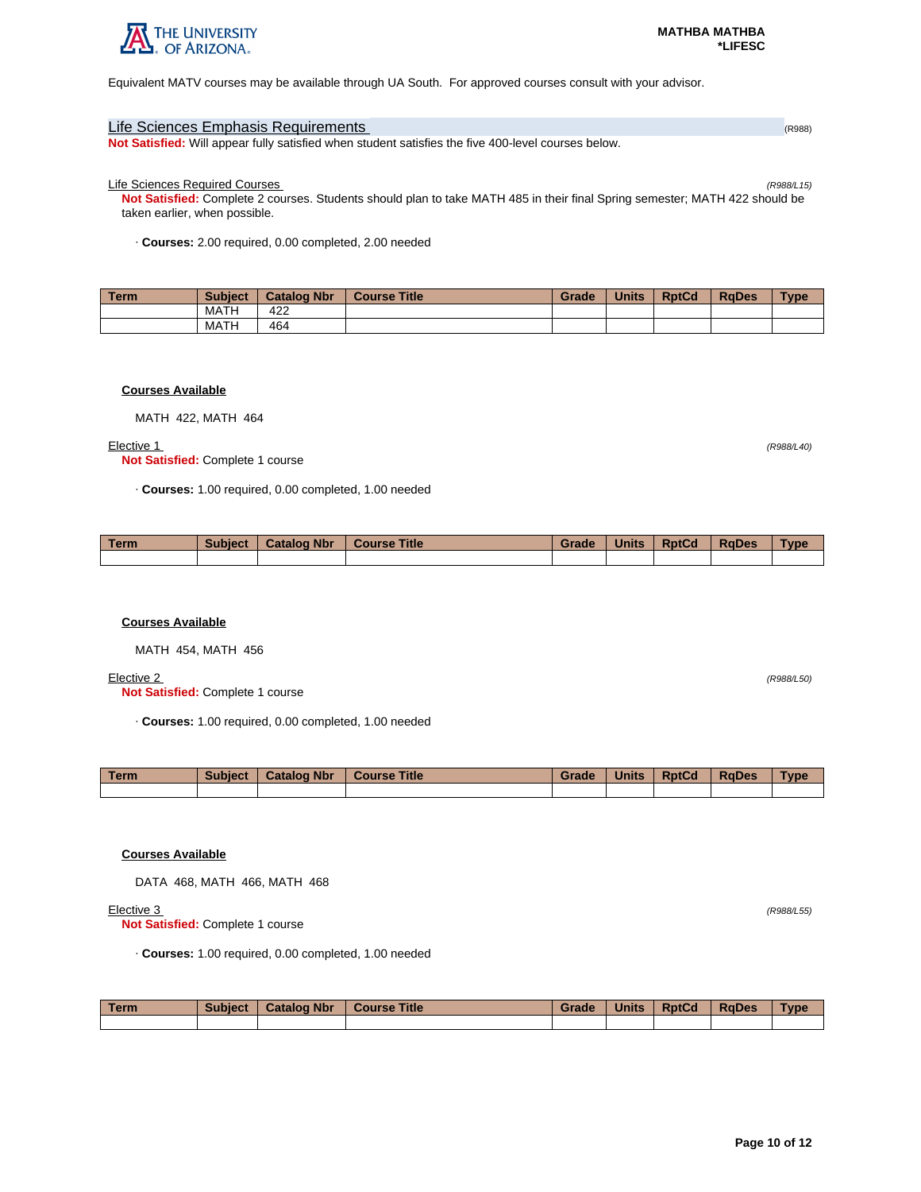

Equivalent MATV courses may be available through UA South. For approved courses consult with your advisor.

### Life Sciences Emphasis Requirements (R988)

**Not Satisfied:** Will appear fully satisfied when student satisfies the five 400-level courses below.

Life Sciences Required Courses (R988/L15)

**Not Satisfied:** Complete 2 courses. Students should plan to take MATH 485 in their final Spring semester; MATH 422 should be taken earlier, when possible.

· **Courses:** 2.00 required, 0.00 completed, 2.00 needed

| l Term | <b>Subject</b> | <b>Catalog Nbr</b> | <b>Course Title</b> | Grade | <b>Units</b> | <b>RptCd</b> | <b>RaDes</b> | <b>Type</b> |
|--------|----------------|--------------------|---------------------|-------|--------------|--------------|--------------|-------------|
|        | MATH           | 422                |                     |       |              |              |              |             |
|        | MATH           | 464                |                     |       |              |              |              |             |

## **Courses Available**

MATH 422, MATH 464

#### $\frac{z}{R}$  (R988/L40)

**Not Satisfied:** Complete 1 course

· **Courses:** 1.00 required, 0.00 completed, 1.00 needed

| Term. | <b>Subject</b> | <b>Catalog Nbr</b> | <b>Course Title</b> | Grade | <b>Units</b> | <b>RptCd</b> | <b>RaDes</b> | <b>Type</b> |
|-------|----------------|--------------------|---------------------|-------|--------------|--------------|--------------|-------------|
|       |                |                    |                     |       |              |              |              |             |

#### **Courses Available**

MATH 454, MATH 456

### $\frac{Elective 2}{(R988/150)}$

**Not Satisfied:** Complete 1 course

· **Courses:** 1.00 required, 0.00 completed, 1.00 needed

| Term. | <b>Subject</b> | <b>Catalog Nbr</b> | <b>Course Title</b> | Grade | <b>Units</b> | <b>RptCd</b> | <b>RaDes</b> | Гуре |
|-------|----------------|--------------------|---------------------|-------|--------------|--------------|--------------|------|
|       |                |                    |                     |       |              |              |              |      |

## **Courses Available**

DATA 468, MATH 466, MATH 468

#### $\frac{Elective 3}{(R988/155)}$

**Not Satisfied:** Complete 1 course

· **Courses:** 1.00 required, 0.00 completed, 1.00 needed

| <b>Term</b> | <b>Subject</b> | <b>Catalog Nbr</b> | <b>Course Title</b> | Grade | <b>Units</b> | <b>RptCd</b> | <b>RaDes</b> | <b>Type</b> |
|-------------|----------------|--------------------|---------------------|-------|--------------|--------------|--------------|-------------|
|             |                |                    |                     |       |              |              |              |             |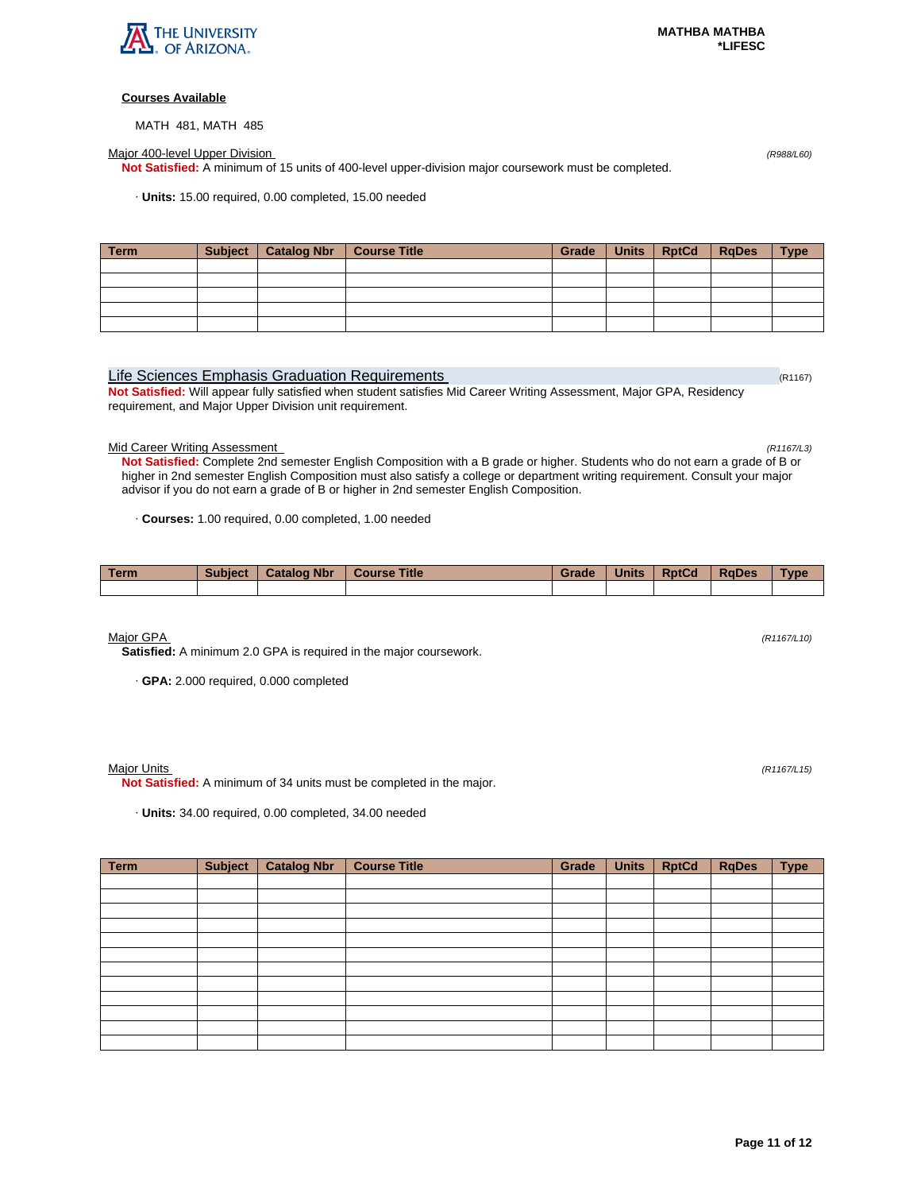### **Courses Available**

MATH 481, MATH 485

Major 400-level Upper Division **Major 400-level Upper Division** (R988/L60)

**Not Satisfied:** A minimum of 15 units of 400-level upper-division major coursework must be completed.

· **Units:** 15.00 required, 0.00 completed, 15.00 needed

| Term | Subject   Catalog Nbr   Course Title | Grade | Units RptCd | <b>RgDes</b> | <b>Type</b> |
|------|--------------------------------------|-------|-------------|--------------|-------------|
|      |                                      |       |             |              |             |
|      |                                      |       |             |              |             |
|      |                                      |       |             |              |             |
|      |                                      |       |             |              |             |
|      |                                      |       |             |              |             |

## Life Sciences Emphasis Graduation Requirements (R1167) and R1167) (R1167)

**Not Satisfied:** Will appear fully satisfied when student satisfies Mid Career Writing Assessment, Major GPA, Residency requirement, and Major Upper Division unit requirement.

Mid Career Writing Assessment (R1167/L3)

**Not Satisfied:** Complete 2nd semester English Composition with a B grade or higher. Students who do not earn a grade of B or higher in 2nd semester English Composition must also satisfy a college or department writing requirement. Consult your major advisor if you do not earn a grade of B or higher in 2nd semester English Composition.

· **Courses:** 1.00 required, 0.00 completed, 1.00 needed

| <b>Term</b> | <b>Subject</b> | <b>Catalog Nbr</b> | <b>Course Title</b> | Grade | <b>Units</b> | <b>RptCd</b> | <b>RaDes</b> | <b>Type</b> |
|-------------|----------------|--------------------|---------------------|-------|--------------|--------------|--------------|-------------|
|             |                |                    |                     |       |              |              |              |             |

Major GPA (R1167/L10)

**Satisfied:** A minimum 2.0 GPA is required in the major coursework.

· **GPA:** 2.000 required, 0.000 completed

Major Units (R1167/L15)

**Not Satisfied:** A minimum of 34 units must be completed in the major.

· **Units:** 34.00 required, 0.00 completed, 34.00 needed

| <b>Term</b> | <b>Subject</b> | <b>Catalog Nbr</b> | <b>Course Title</b> | Grade | <b>Units</b> | <b>RptCd</b> | <b>RqDes</b> | <b>Type</b> |
|-------------|----------------|--------------------|---------------------|-------|--------------|--------------|--------------|-------------|
|             |                |                    |                     |       |              |              |              |             |
|             |                |                    |                     |       |              |              |              |             |
|             |                |                    |                     |       |              |              |              |             |
|             |                |                    |                     |       |              |              |              |             |
|             |                |                    |                     |       |              |              |              |             |
|             |                |                    |                     |       |              |              |              |             |
|             |                |                    |                     |       |              |              |              |             |
|             |                |                    |                     |       |              |              |              |             |
|             |                |                    |                     |       |              |              |              |             |
|             |                |                    |                     |       |              |              |              |             |
|             |                |                    |                     |       |              |              |              |             |
|             |                |                    |                     |       |              |              |              |             |